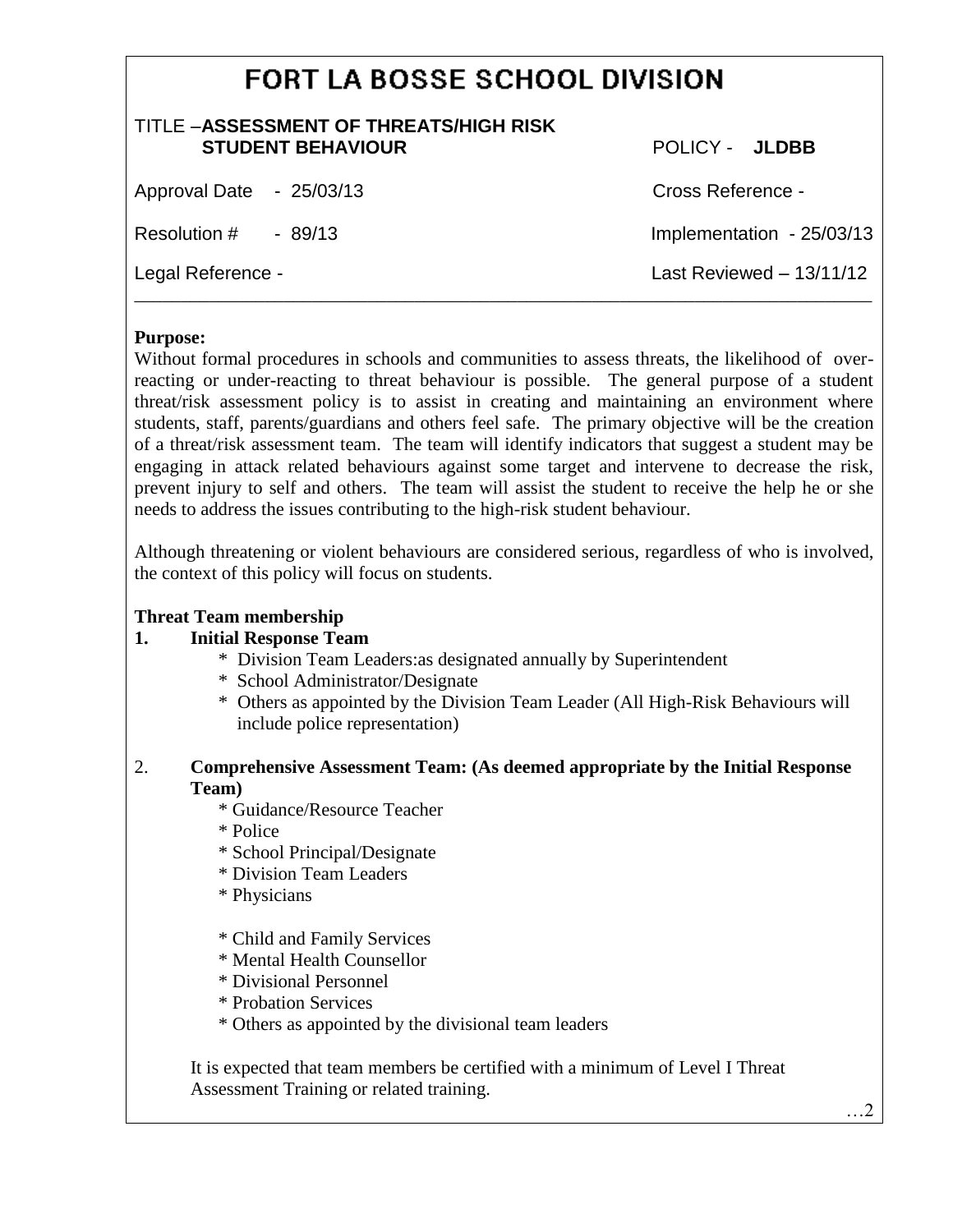# **FORT LA BOSSE SCHOOL DIVISION**

| TITLE - ASSESSMENT OF THREATS/HIGH RISK<br><b>STUDENT BEHAVIOUR</b> | POLICY - JLDBB            |
|---------------------------------------------------------------------|---------------------------|
| Approval Date - 25/03/13                                            | Cross Reference -         |
| Resolution $\#$ - 89/13                                             | Implementation - 25/03/13 |
| Legal Reference -                                                   | Last Reviewed $-13/11/12$ |

## **Purpose:**

Without formal procedures in schools and communities to assess threats, the likelihood of overreacting or under-reacting to threat behaviour is possible. The general purpose of a student threat/risk assessment policy is to assist in creating and maintaining an environment where students, staff, parents/guardians and others feel safe. The primary objective will be the creation of a threat/risk assessment team. The team will identify indicators that suggest a student may be engaging in attack related behaviours against some target and intervene to decrease the risk, prevent injury to self and others. The team will assist the student to receive the help he or she needs to address the issues contributing to the high-risk student behaviour.

Although threatening or violent behaviours are considered serious, regardless of who is involved, the context of this policy will focus on students.

# **Threat Team membership**

#### **1. Initial Response Team**

- \* Division Team Leaders:as designated annually by Superintendent
- \* School Administrator/Designate
- \* Others as appointed by the Division Team Leader (All High-Risk Behaviours will include police representation)

## 2. **Comprehensive Assessment Team: (As deemed appropriate by the Initial Response Team)**

- \* Guidance/Resource Teacher
- \* Police
- \* School Principal/Designate
- \* Division Team Leaders
- \* Physicians
- \* Child and Family Services
- \* Mental Health Counsellor
- \* Divisional Personnel
- \* Probation Services
- \* Others as appointed by the divisional team leaders

It is expected that team members be certified with a minimum of Level I Threat Assessment Training or related training.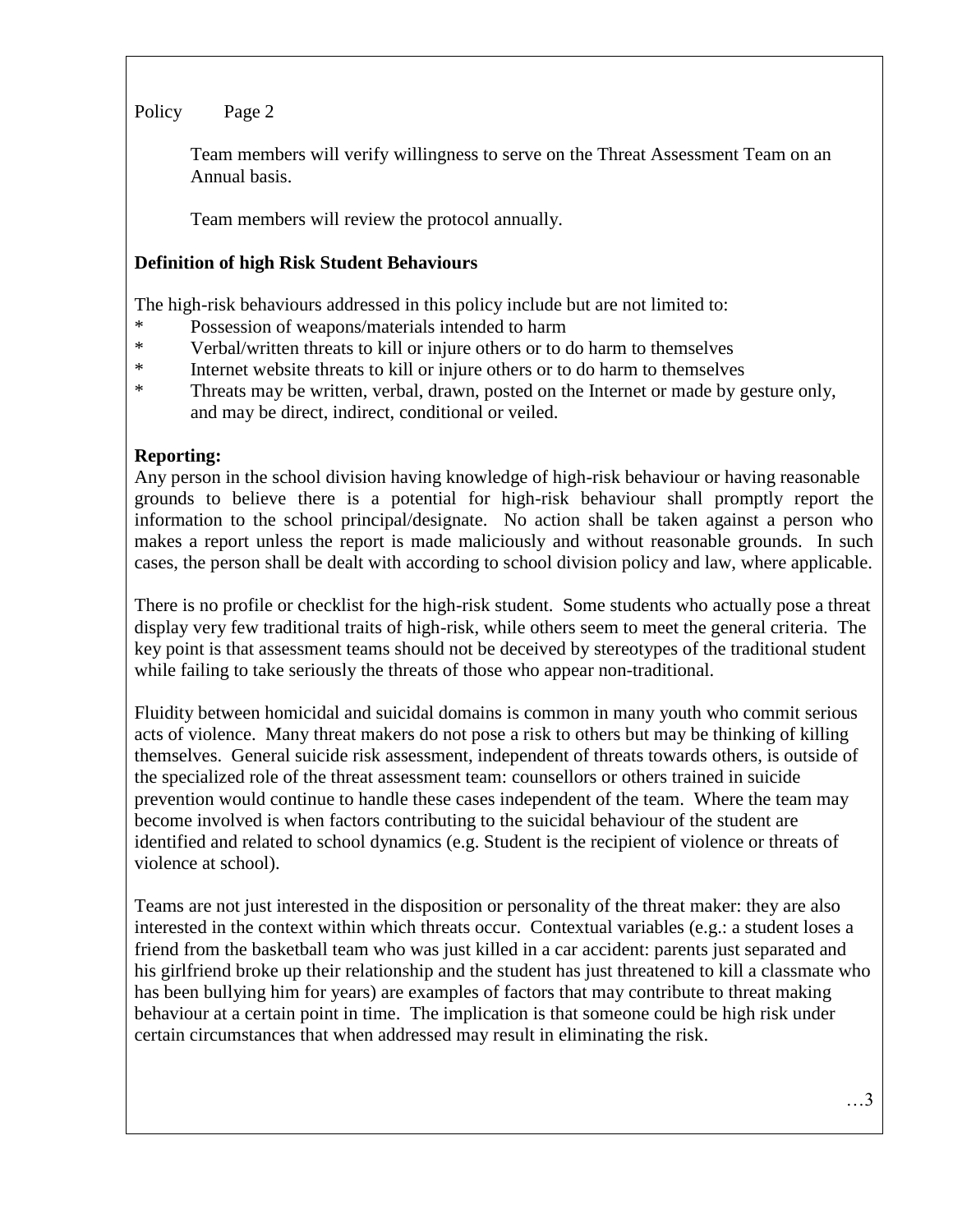Team members will verify willingness to serve on the Threat Assessment Team on an Annual basis.

Team members will review the protocol annually.

# **Definition of high Risk Student Behaviours**

The high-risk behaviours addressed in this policy include but are not limited to:

- \* Possession of weapons/materials intended to harm
- \* Verbal/written threats to kill or injure others or to do harm to themselves
- \* Internet website threats to kill or injure others or to do harm to themselves
- \* Threats may be written, verbal, drawn, posted on the Internet or made by gesture only, and may be direct, indirect, conditional or veiled.

# **Reporting:**

Any person in the school division having knowledge of high-risk behaviour or having reasonable grounds to believe there is a potential for high-risk behaviour shall promptly report the information to the school principal/designate. No action shall be taken against a person who makes a report unless the report is made maliciously and without reasonable grounds. In such cases, the person shall be dealt with according to school division policy and law, where applicable.

There is no profile or checklist for the high-risk student. Some students who actually pose a threat display very few traditional traits of high-risk, while others seem to meet the general criteria. The key point is that assessment teams should not be deceived by stereotypes of the traditional student while failing to take seriously the threats of those who appear non-traditional.

Fluidity between homicidal and suicidal domains is common in many youth who commit serious acts of violence. Many threat makers do not pose a risk to others but may be thinking of killing themselves. General suicide risk assessment, independent of threats towards others, is outside of the specialized role of the threat assessment team: counsellors or others trained in suicide prevention would continue to handle these cases independent of the team. Where the team may become involved is when factors contributing to the suicidal behaviour of the student are identified and related to school dynamics (e.g. Student is the recipient of violence or threats of violence at school).

Teams are not just interested in the disposition or personality of the threat maker: they are also interested in the context within which threats occur. Contextual variables (e.g.: a student loses a friend from the basketball team who was just killed in a car accident: parents just separated and his girlfriend broke up their relationship and the student has just threatened to kill a classmate who has been bullying him for years) are examples of factors that may contribute to threat making behaviour at a certain point in time. The implication is that someone could be high risk under certain circumstances that when addressed may result in eliminating the risk.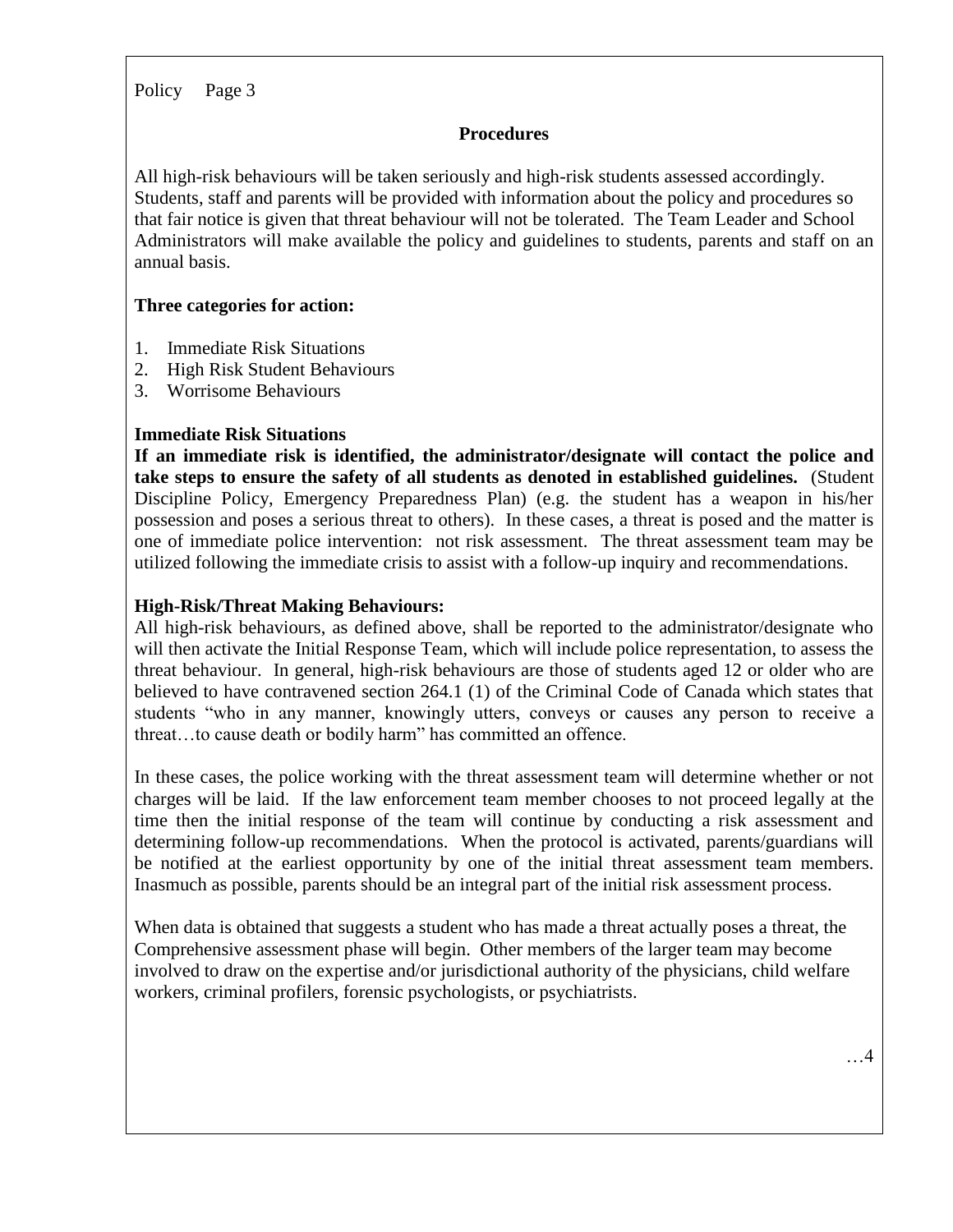#### **Procedures**

All high-risk behaviours will be taken seriously and high-risk students assessed accordingly. Students, staff and parents will be provided with information about the policy and procedures so that fair notice is given that threat behaviour will not be tolerated. The Team Leader and School Administrators will make available the policy and guidelines to students, parents and staff on an annual basis.

#### **Three categories for action:**

- 1. Immediate Risk Situations
- 2. High Risk Student Behaviours
- 3. Worrisome Behaviours

#### **Immediate Risk Situations**

**If an immediate risk is identified, the administrator/designate will contact the police and take steps to ensure the safety of all students as denoted in established guidelines.** (Student Discipline Policy, Emergency Preparedness Plan) (e.g. the student has a weapon in his/her possession and poses a serious threat to others). In these cases, a threat is posed and the matter is one of immediate police intervention: not risk assessment. The threat assessment team may be utilized following the immediate crisis to assist with a follow-up inquiry and recommendations.

#### **High-Risk/Threat Making Behaviours:**

All high-risk behaviours, as defined above, shall be reported to the administrator/designate who will then activate the Initial Response Team, which will include police representation, to assess the threat behaviour. In general, high-risk behaviours are those of students aged 12 or older who are believed to have contravened section 264.1 (1) of the Criminal Code of Canada which states that students "who in any manner, knowingly utters, conveys or causes any person to receive a threat…to cause death or bodily harm" has committed an offence.

In these cases, the police working with the threat assessment team will determine whether or not charges will be laid. If the law enforcement team member chooses to not proceed legally at the time then the initial response of the team will continue by conducting a risk assessment and determining follow-up recommendations. When the protocol is activated, parents/guardians will be notified at the earliest opportunity by one of the initial threat assessment team members. Inasmuch as possible, parents should be an integral part of the initial risk assessment process.

When data is obtained that suggests a student who has made a threat actually poses a threat, the Comprehensive assessment phase will begin. Other members of the larger team may become involved to draw on the expertise and/or jurisdictional authority of the physicians, child welfare workers, criminal profilers, forensic psychologists, or psychiatrists.

…4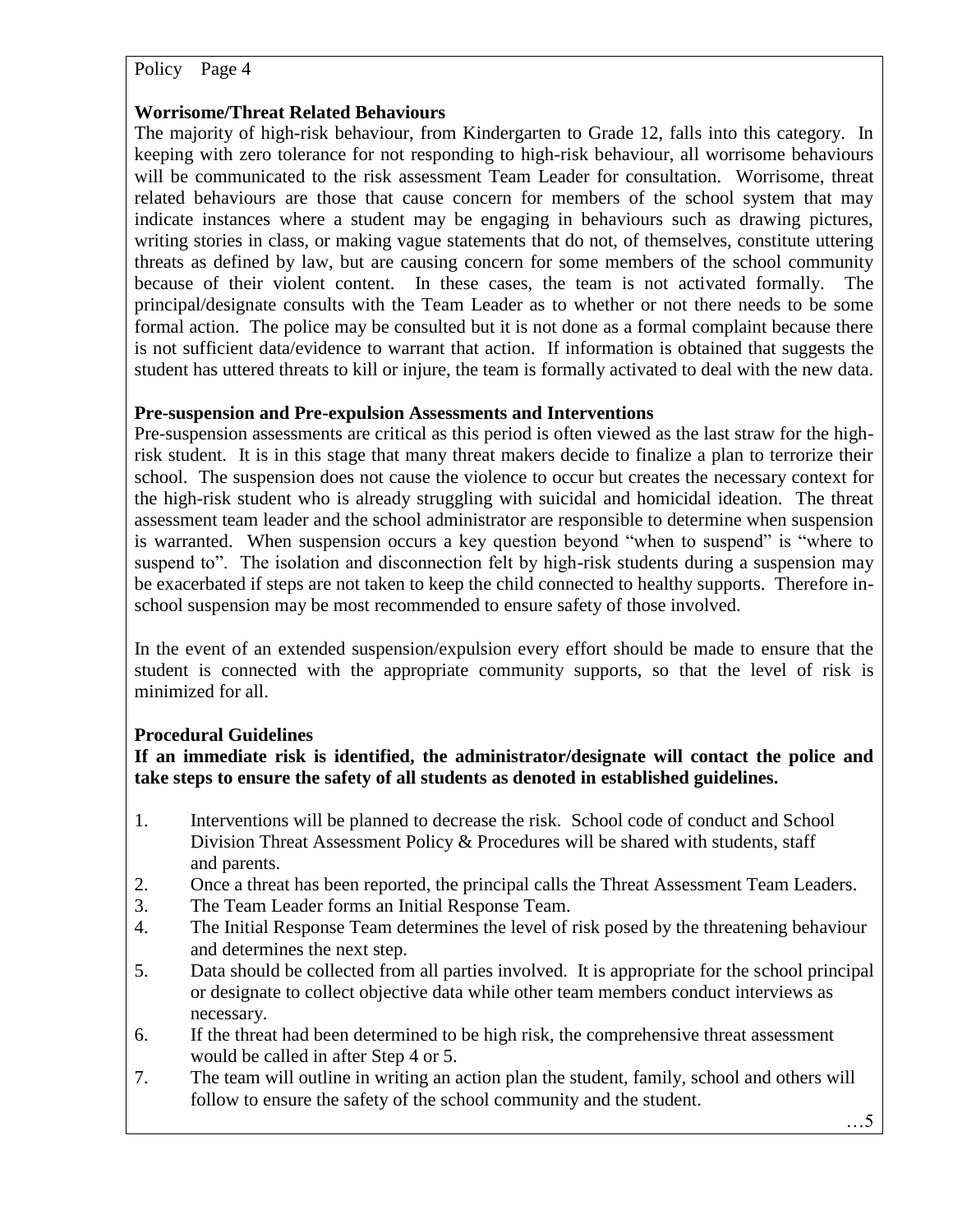# **Worrisome/Threat Related Behaviours**

The majority of high-risk behaviour, from Kindergarten to Grade 12, falls into this category. In keeping with zero tolerance for not responding to high-risk behaviour, all worrisome behaviours will be communicated to the risk assessment Team Leader for consultation. Worrisome, threat related behaviours are those that cause concern for members of the school system that may indicate instances where a student may be engaging in behaviours such as drawing pictures, writing stories in class, or making vague statements that do not, of themselves, constitute uttering threats as defined by law, but are causing concern for some members of the school community because of their violent content. In these cases, the team is not activated formally. The principal/designate consults with the Team Leader as to whether or not there needs to be some formal action. The police may be consulted but it is not done as a formal complaint because there is not sufficient data/evidence to warrant that action. If information is obtained that suggests the student has uttered threats to kill or injure, the team is formally activated to deal with the new data.

# **Pre-suspension and Pre-expulsion Assessments and Interventions**

Pre-suspension assessments are critical as this period is often viewed as the last straw for the highrisk student. It is in this stage that many threat makers decide to finalize a plan to terrorize their school. The suspension does not cause the violence to occur but creates the necessary context for the high-risk student who is already struggling with suicidal and homicidal ideation. The threat assessment team leader and the school administrator are responsible to determine when suspension is warranted. When suspension occurs a key question beyond "when to suspend" is "where to suspend to". The isolation and disconnection felt by high-risk students during a suspension may be exacerbated if steps are not taken to keep the child connected to healthy supports. Therefore inschool suspension may be most recommended to ensure safety of those involved.

In the event of an extended suspension/expulsion every effort should be made to ensure that the student is connected with the appropriate community supports, so that the level of risk is minimized for all.

# **Procedural Guidelines**

**If an immediate risk is identified, the administrator/designate will contact the police and take steps to ensure the safety of all students as denoted in established guidelines.**

- 1. Interventions will be planned to decrease the risk. School code of conduct and School Division Threat Assessment Policy & Procedures will be shared with students, staff and parents.
- 2. Once a threat has been reported, the principal calls the Threat Assessment Team Leaders.
- 3. The Team Leader forms an Initial Response Team.
- 4. The Initial Response Team determines the level of risk posed by the threatening behaviour and determines the next step.
- 5. Data should be collected from all parties involved. It is appropriate for the school principal or designate to collect objective data while other team members conduct interviews as necessary.
- 6. If the threat had been determined to be high risk, the comprehensive threat assessment would be called in after Step 4 or 5.
- 7. The team will outline in writing an action plan the student, family, school and others will follow to ensure the safety of the school community and the student.